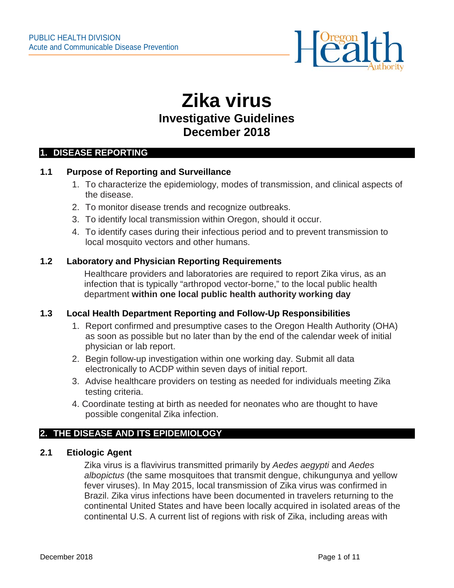

# **Zika virus Investigative Guidelines December 2018**

#### **1. DISEASE REPORTING**

#### **1.1 Purpose of Reporting and Surveillance**

- 1. To characterize the epidemiology, modes of transmission, and clinical aspects of the disease.
- 2. To monitor disease trends and recognize outbreaks.
- 3. To identify local transmission within Oregon, should it occur.
- 4. To identify cases during their infectious period and to prevent transmission to local mosquito vectors and other humans.

#### **1.2 Laboratory and Physician Reporting Requirements**

Healthcare providers and laboratories are required to report Zika virus, as an infection that is typically "arthropod vector-borne," to the local public health department **within one local public health authority working day**

#### **1.3 Local Health Department Reporting and Follow-Up Responsibilities**

- 1. Report confirmed and presumptive cases to the Oregon Health Authority (OHA) as soon as possible but no later than by the end of the calendar week of initial physician or lab report.
- 2. Begin follow-up investigation within one working day. Submit all data electronically to ACDP within seven days of initial report.
- 3. Advise healthcare providers on testing as needed for individuals meeting Zika testing criteria.
- 4. Coordinate testing at birth as needed for neonates who are thought to have possible congenital Zika infection.

#### **2. THE DISEASE AND ITS EPIDEMIOLOGY**

#### **2.1 Etiologic Agent**

Zika virus is a flavivirus transmitted primarily by *Aedes aegypti* and *Aedes albopictus* (the same mosquitoes that transmit dengue, chikungunya and yellow fever viruses). In May 2015, local transmission of Zika virus was confirmed in Brazil. Zika virus infections have been documented in travelers returning to the continental United States and have been locally acquired in isolated areas of the continental U.S. A current list of regions with risk of Zika, including areas with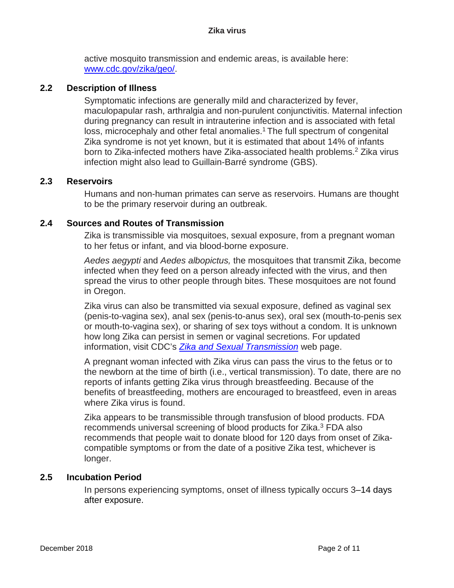active mosquito transmission and endemic areas, is available here: [www.cdc.gov/zika/geo/.](http://www.cdc.gov/zika/geo/)

#### **2.2 Description of Illness**

Symptomatic infections are generally mild and characterized by fever, maculopapular rash, arthralgia and non-purulent conjunctivitis. Maternal infection during pregnancy can result in intrauterine infection and is associated with fetal loss, microcephaly and other fetal anomalies.<sup>1</sup> The full spectrum of congenital Zika syndrome is not yet known, but it is estimated that about 14% of infants born to Zika-infected mothers have Zika-associated health problems.<sup>2</sup> Zika virus infection might also lead to Guillain-Barré syndrome (GBS).

#### **2.3 Reservoirs**

Humans and non-human primates can serve as reservoirs. Humans are thought to be the primary reservoir during an outbreak.

#### **2.4 Sources and Routes of Transmission**

Zika is transmissible via mosquitoes, sexual exposure, from a pregnant woman to her fetus or infant, and via blood-borne exposure.

*Aedes aegypti* and *Aedes albopictus,* the mosquitoes that transmit Zika, become infected when they feed on a person already infected with the virus, and then spread the virus to other people through bites. These mosquitoes are not found in Oregon.

Zika virus can also be transmitted via sexual exposure, defined as vaginal sex (penis-to-vagina sex), anal sex (penis-to-anus sex), oral sex (mouth-to-penis sex or mouth-to-vagina sex), or sharing of sex toys without a condom. It is unknown how long Zika can persist in semen or vaginal secretions. For updated information, visit CDC's *[Zika and Sexual Transmission](http://www.cdc.gov/zika/transmission/sexual-transmission.html)* web page.

A pregnant woman infected with Zika virus can pass the virus to the fetus or to the newborn at the time of birth (i.e., vertical transmission). To date, there are no reports of infants getting Zika virus through breastfeeding. Because of the benefits of breastfeeding, mothers are encouraged to breastfeed, even in areas where Zika virus is found.

Zika appears to be transmissible through transfusion of blood products. FDA recommends universal screening of blood products for Zika.<sup>3</sup> FDA also recommends that people wait to donate blood for 120 days from onset of Zikacompatible symptoms or from the date of a positive Zika test, whichever is longer.

#### **2.5 Incubation Period**

In persons experiencing symptoms, onset of illness typically occurs 3–14 days after exposure.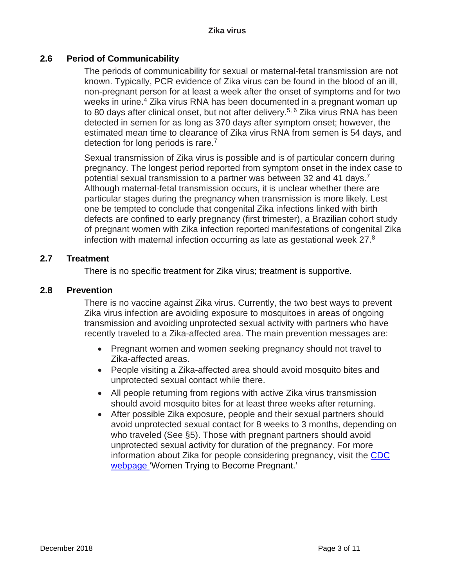#### **2.6 Period of Communicability**

The periods of communicability for sexual or maternal-fetal transmission are not known. Typically, PCR evidence of Zika virus can be found in the blood of an ill, non-pregnant person for at least a week after the onset of symptoms and for two weeks in urine. <sup>4</sup> Zika virus RNA has been documented in a pregnant woman up to 80 days after clinical onset, but not after delivery.<sup>5, 6</sup> Zika virus RNA has been detected in semen for as long as 370 days after symptom onset; however, the estimated mean time to clearance of Zika virus RNA from semen is 54 days, and detection for long periods is rare.<sup>7</sup>

Sexual transmission of Zika virus is possible and is of particular concern during pregnancy. The longest period reported from symptom onset in the index case to potential sexual transmission to a partner was between 32 and 41 days.<sup>7</sup> Although maternal-fetal transmission occurs, it is unclear whether there are particular stages during the pregnancy when transmission is more likely. Lest one be tempted to conclude that congenital Zika infections linked with birth defects are confined to early pregnancy (first trimester), a Brazilian cohort study of pregnant women with Zika infection reported manifestations of congenital Zika infection with maternal infection occurring as late as gestational week  $27<sup>8</sup>$ 

#### **2.7 Treatment**

There is no specific treatment for Zika virus; treatment is supportive.

#### **2.8 Prevention**

There is no vaccine against Zika virus. Currently, the two best ways to prevent Zika virus infection are avoiding exposure to mosquitoes in areas of ongoing transmission and avoiding unprotected sexual activity with partners who have recently traveled to a Zika-affected area. The main prevention messages are:

- Pregnant women and women seeking pregnancy should not travel to Zika-affected areas.
- People visiting a Zika-affected area should avoid mosquito bites and unprotected sexual contact while there.
- All people returning from regions with active Zika virus transmission should avoid mosquito bites for at least three weeks after returning.
- After possible Zika exposure, people and their sexual partners should avoid unprotected sexual contact for 8 weeks to 3 months, depending on who traveled (See §5). Those with pregnant partners should avoid unprotected sexual activity for duration of the pregnancy. For more information about Zika for people considering pregnancy, visit the [CDC](http://www.cdc.gov/zika/pregnancy/thinking-about-pregnancy.html)  [webpage](http://www.cdc.gov/zika/pregnancy/thinking-about-pregnancy.html) 'Women Trying to Become Pregnant.'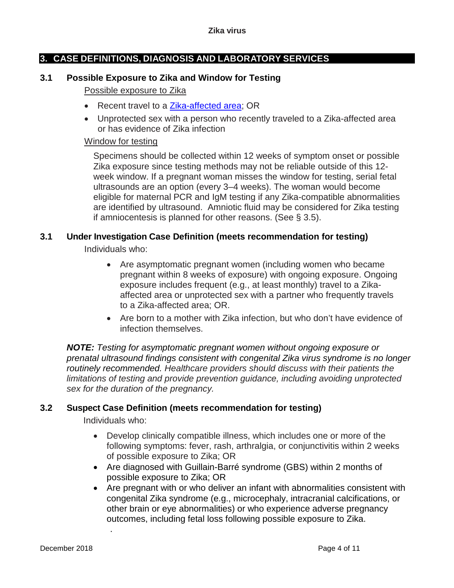### **3. CASE DEFINITIONS, DIAGNOSIS AND LABORATORY SERVICES**

#### **3.1 Possible Exposure to Zika and Window for Testing**

#### Possible exposure to Zika

- Recent travel to a [Zika-affected area;](http://www.cdc.gov/zika/geo/index.html) OR
- Unprotected sex with a person who recently traveled to a Zika-affected area or has evidence of Zika infection

#### Window for testing

Specimens should be collected within 12 weeks of symptom onset or possible Zika exposure since testing methods may not be reliable outside of this 12 week window. If a pregnant woman misses the window for testing, serial fetal ultrasounds are an option (every 3–4 weeks). The woman would become eligible for maternal PCR and IgM testing if any Zika-compatible abnormalities are identified by ultrasound. Amniotic fluid may be considered for Zika testing if amniocentesis is planned for other reasons. (See § 3.5).

# **3.1 Under Investigation Case Definition (meets recommendation for testing)**

Individuals who:

- Are asymptomatic pregnant women (including women who became pregnant within 8 weeks of exposure) with ongoing exposure. Ongoing exposure includes frequent (e.g., at least monthly) travel to a Zikaaffected area or unprotected sex with a partner who frequently travels to a Zika-affected area; OR.
- Are born to a mother with Zika infection, but who don't have evidence of infection themselves.

*NOTE: Testing for asymptomatic pregnant women without ongoing exposure or prenatal ultrasound findings consistent with congenital Zika virus syndrome is no longer routinely recommended. Healthcare providers should discuss with their patients the limitations of testing and provide prevention guidance, including avoiding unprotected sex for the duration of the pregnancy.*

#### **3.2 Suspect Case Definition (meets recommendation for testing)**

Individuals who:

.

- Develop clinically compatible illness, which includes one or more of the following symptoms: fever, rash, arthralgia, or conjunctivitis within 2 weeks of possible exposure to Zika; OR
- Are diagnosed with Guillain-Barré syndrome (GBS) within 2 months of possible exposure to Zika; OR
- Are pregnant with or who deliver an infant with abnormalities consistent with congenital Zika syndrome (e.g., microcephaly, intracranial calcifications, or other brain or eye abnormalities) or who experience adverse pregnancy outcomes, including fetal loss following possible exposure to Zika.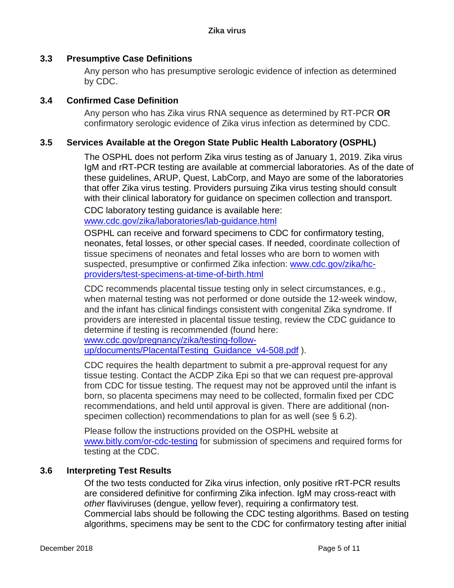#### **3.3 Presumptive Case Definitions**

Any person who has presumptive serologic evidence of infection as determined by CDC.

#### **3.4 Confirmed Case Definition**

Any person who has Zika virus RNA sequence as determined by RT-PCR **OR**  confirmatory serologic evidence of Zika virus infection as determined by CDC.

#### **3.5 Services Available at the Oregon State Public Health Laboratory (OSPHL)**

The OSPHL does not perform Zika virus testing as of January 1, 2019. Zika virus IgM and rRT-PCR testing are available at commercial laboratories. As of the date of these guidelines, ARUP, Quest, LabCorp, and Mayo are some of the laboratories that offer Zika virus testing. Providers pursuing Zika virus testing should consult with their clinical laboratory for guidance on specimen collection and transport.

CDC laboratory testing guidance is available here: [www.cdc.gov/zika/laboratories/lab-guidance.html](http://www.cdc.gov/zika/laboratories/lab-guidance.html)

OSPHL can receive and forward specimens to CDC for confirmatory testing, neonates, fetal losses, or other special cases. If needed, coordinate collection of tissue specimens of neonates and fetal losses who are born to women with suspected, presumptive or confirmed Zika infection: [www.cdc.gov/zika/hc](http://www.cdc.gov/zika/hc-providers/test-specimens-at-time-of-birth.html)[providers/test-specimens-at-time-of-birth.html](http://www.cdc.gov/zika/hc-providers/test-specimens-at-time-of-birth.html)

CDC recommends placental tissue testing only in select circumstances, e.g., when maternal testing was not performed or done outside the 12-week window, and the infant has clinical findings consistent with congenital Zika syndrome. If providers are interested in placental tissue testing, review the CDC guidance to determine if testing is recommended (found here: [www.cdc.gov/pregnancy/zika/testing-follow-](http://www.cdc.gov/pregnancy/zika/testing-follow-up/documents/PlacentalTesting_Guidance_v4-508.pdf)

[up/documents/PlacentalTesting\\_Guidance\\_v4-508.pdf](http://www.cdc.gov/pregnancy/zika/testing-follow-up/documents/PlacentalTesting_Guidance_v4-508.pdf) ).

CDC requires the health department to submit a pre-approval request for any tissue testing. Contact the ACDP Zika Epi so that we can request pre-approval from CDC for tissue testing. The request may not be approved until the infant is born, so placenta specimens may need to be collected, formalin fixed per CDC recommendations, and held until approval is given. There are additional (nonspecimen collection) recommendations to plan for as well (see § 6.2).

Please follow the instructions provided on the OSPHL website at [www.bitly.com/or-cdc-testing](http://www.bitly.com/or-cdc-testing) for submission of specimens and required forms for testing at the CDC.

#### **3.6 Interpreting Test Results**

Of the two tests conducted for Zika virus infection, only positive rRT-PCR results are considered definitive for confirming Zika infection. IgM may cross-react with *other* flaviviruses (dengue, yellow fever), requiring a confirmatory test. Commercial labs should be following the CDC testing algorithms. Based on testing algorithms, specimens may be sent to the CDC for confirmatory testing after initial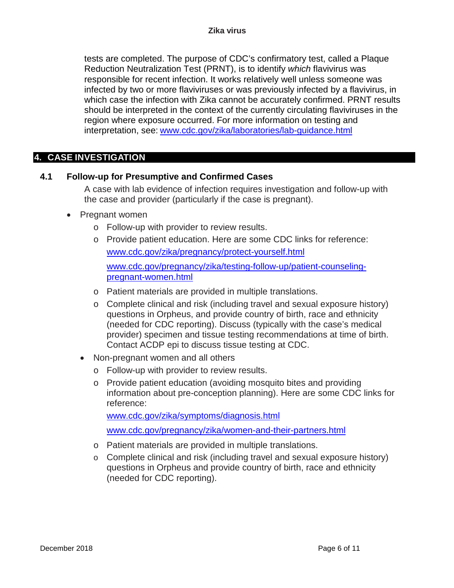tests are completed. The purpose of CDC's confirmatory test, called a Plaque Reduction Neutralization Test (PRNT), is to identify *which* flavivirus was responsible for recent infection. It works relatively well unless someone was infected by two or more flaviviruses or was previously infected by a flavivirus, in which case the infection with Zika cannot be accurately confirmed. PRNT results should be interpreted in the context of the currently circulating flaviviruses in the region where exposure occurred. For more information on testing and interpretation, see: [www.cdc.gov/zika/laboratories/lab-guidance.html](http://www.cdc.gov/zika/laboratories/lab-guidance.html)

#### **4. CASE INVESTIGATION**

#### **4.1 Follow-up for Presumptive and Confirmed Cases**

A case with lab evidence of infection requires investigation and follow-up with the case and provider (particularly if the case is pregnant).

#### • Pregnant women

- o Follow-up with provider to review results.
- o Provide patient education. Here are some CDC links for reference: [www.cdc.gov/zika/pregnancy/protect-yourself.html](http://www.cdc.gov/zika/pregnancy/protect-yourself.html)

[www.cdc.gov/pregnancy/zika/testing-follow-up/patient-counseling](http://www.cdc.gov/pregnancy/zika/testing-follow-up/patient-counseling-pregnant-women.html)[pregnant-women.html](http://www.cdc.gov/pregnancy/zika/testing-follow-up/patient-counseling-pregnant-women.html)

- o Patient materials are provided in multiple translations.
- o Complete clinical and risk (including travel and sexual exposure history) questions in Orpheus, and provide country of birth, race and ethnicity (needed for CDC reporting). Discuss (typically with the case's medical provider) specimen and tissue testing recommendations at time of birth. Contact ACDP epi to discuss tissue testing at CDC.
- Non-pregnant women and all others
	- o Follow-up with provider to review results.
	- o Provide patient education (avoiding mosquito bites and providing information about pre-conception planning). Here are some CDC links for reference:

[www.cdc.gov/zika/symptoms/diagnosis.html](http://www.cdc.gov/zika/symptoms/diagnosis.html)

[www.cdc.gov/pregnancy/zika/women-and-their-partners.html](http://www.cdc.gov/pregnancy/zika/women-and-their-partners.html)

- o Patient materials are provided in multiple translations.
- o Complete clinical and risk (including travel and sexual exposure history) questions in Orpheus and provide country of birth, race and ethnicity (needed for CDC reporting).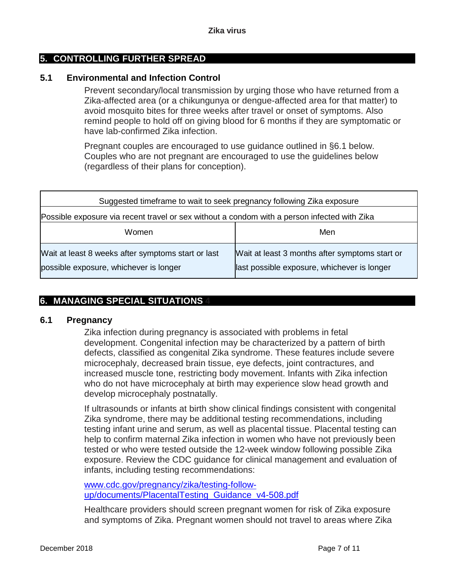#### **5. CONTROLLING FURTHER SPREAD**

#### **5.1 Environmental and Infection Control**

Prevent secondary/local transmission by urging those who have returned from a Zika-affected area (or a chikungunya or dengue-affected area for that matter) to avoid mosquito bites for three weeks after travel or onset of symptoms. Also remind people to hold off on giving blood for 6 months if they are symptomatic or have lab-confirmed Zika infection.

Pregnant couples are encouraged to use guidance outlined in §6.1 below. Couples who are not pregnant are encouraged to use the guidelines below (regardless of their plans for conception).

| Suggested timeframe to wait to seek pregnancy following Zika exposure                        |                                                                                               |
|----------------------------------------------------------------------------------------------|-----------------------------------------------------------------------------------------------|
| Possible exposure via recent travel or sex without a condom with a person infected with Zika |                                                                                               |
| Women                                                                                        | Men                                                                                           |
| Wait at least 8 weeks after symptoms start or last<br>possible exposure, whichever is longer | Wait at least 3 months after symptoms start or<br>last possible exposure, whichever is longer |

#### **6. MANAGING SPECIAL SITUATIONS 4**

#### **6.1 Pregnancy**

Zika infection during pregnancy is associated with problems in fetal development. Congenital infection may be characterized by a pattern of birth defects, classified as congenital Zika syndrome. These features include severe microcephaly, decreased brain tissue, eye defects, joint contractures, and increased muscle tone, restricting body movement. Infants with Zika infection who do not have microcephaly at birth may experience slow head growth and develop microcephaly postnatally.

If ultrasounds or infants at birth show clinical findings consistent with congenital Zika syndrome, there may be additional testing recommendations, including testing infant urine and serum, as well as placental tissue. Placental testing can help to confirm maternal Zika infection in women who have not previously been tested or who were tested outside the 12-week window following possible Zika exposure. Review the CDC guidance for clinical management and evaluation of infants, including testing recommendations:

[www.cdc.gov/pregnancy/zika/testing-follow](http://www.cdc.gov/pregnancy/zika/testing-follow-up/documents/PlacentalTesting_Guidance_v4-508.pdf)[up/documents/PlacentalTesting\\_Guidance\\_v4-508.pdf](http://www.cdc.gov/pregnancy/zika/testing-follow-up/documents/PlacentalTesting_Guidance_v4-508.pdf)

Healthcare providers should screen pregnant women for risk of Zika exposure and symptoms of Zika. Pregnant women should not travel to areas where Zika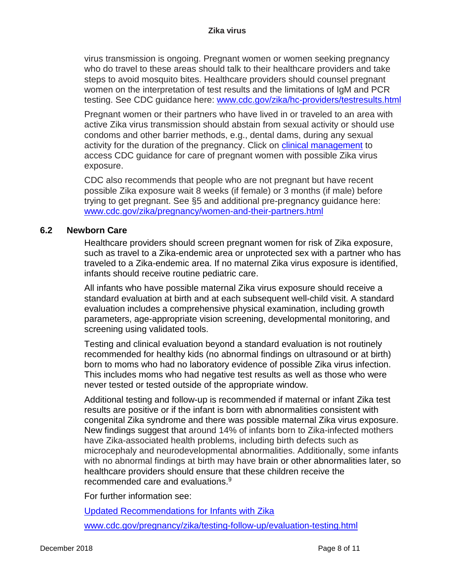virus transmission is ongoing. Pregnant women or women seeking pregnancy who do travel to these areas should talk to their healthcare providers and take steps to avoid mosquito bites. Healthcare providers should counsel pregnant women on the interpretation of test results and the limitations of IgM and PCR testing. See CDC guidance here: [www.cdc.gov/zika/hc-providers/testresults.html](http://www.cdc.gov/zika/hc-providers/testresults.html)

Pregnant women or their partners who have lived in or traveled to an area with active Zika virus transmission should abstain from sexual activity or should use condoms and other barrier methods, e.g., dental dams, during any sexual activity for the duration of the pregnancy. Click on [clinical management](http://www.cdc.gov/zika/hc-providers/index.html) to access CDC guidance for care of pregnant women with possible Zika virus exposure.

CDC also recommends that people who are not pregnant but have recent possible Zika exposure wait 8 weeks (if female) or 3 months (if male) before trying to get pregnant. See §5 and additional pre-pregnancy guidance here: [www.cdc.gov/zika/pregnancy/women-and-their-partners.html](http://www.cdc.gov/zika/pregnancy/women-and-their-partners.html)

#### **6.2 Newborn Care**

Healthcare providers should screen pregnant women for risk of Zika exposure, such as travel to a Zika-endemic area or unprotected sex with a partner who has traveled to a Zika-endemic area. If no maternal Zika virus exposure is identified, infants should receive routine pediatric care.

All infants who have possible maternal Zika virus exposure should receive a standard evaluation at birth and at each subsequent well-child visit. A standard evaluation includes a comprehensive physical examination, including growth parameters, age-appropriate vision screening, developmental monitoring, and screening using validated tools.

Testing and clinical evaluation beyond a standard evaluation is not routinely recommended for healthy kids (no abnormal findings on ultrasound or at birth) born to moms who had no laboratory evidence of possible Zika virus infection. This includes moms who had negative test results as well as those who were never tested or tested outside of the appropriate window.

Additional testing and follow-up is recommended if maternal or infant Zika test results are positive or if the infant is born with abnormalities consistent with congenital Zika syndrome and there was possible maternal Zika virus exposure. New findings suggest that around 14% of infants born to Zika-infected mothers have Zika-associated health problems, including birth defects such as microcephaly and neurodevelopmental abnormalities. Additionally, some infants with no abnormal findings at birth may have brain or other abnormalities later, so healthcare providers should ensure that these children receive the recommended care and evaluations.<sup>9</sup>

For further information see:

[Updated Recommendations for Infants with Zika](https://www.cdc.gov/mmwr/volumes/66/wr/mm6641a1.htm)

[www.cdc.gov/pregnancy/zika/testing-follow-up/evaluation-testing.html](http://www.cdc.gov/pregnancy/zika/testing-follow-up/evaluation-testing.html)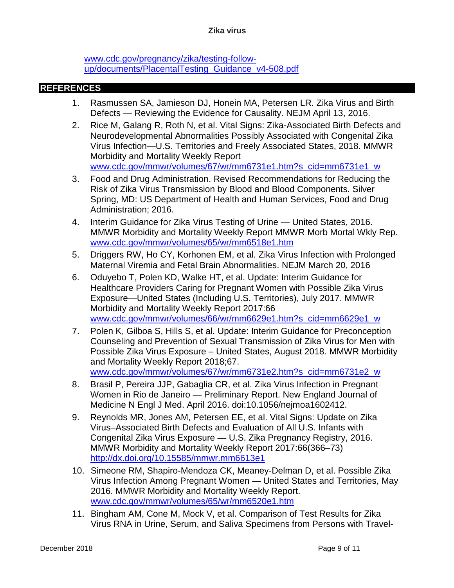#### **Zika virus**

[www.cdc.gov/pregnancy/zika/testing-follow](http://www.cdc.gov/pregnancy/zika/testing-follow-up/documents/PlacentalTesting_Guidance_v4-508.pdf)[up/documents/PlacentalTesting\\_Guidance\\_v4-508.pdf](http://www.cdc.gov/pregnancy/zika/testing-follow-up/documents/PlacentalTesting_Guidance_v4-508.pdf)

#### **REFERENCES**

- 1. Rasmussen SA, Jamieson DJ, Honein MA, Petersen LR. Zika Virus and Birth Defects — Reviewing the Evidence for Causality. NEJM April 13, 2016.
- 2. Rice M, Galang R, Roth N, et al. Vital Signs: Zika-Associated Birth Defects and Neurodevelopmental Abnormalities Possibly Associated with Congenital Zika Virus Infection—U.S. Territories and Freely Associated States, 2018. MMWR Morbidity and Mortality Weekly Report [www.cdc.gov/mmwr/volumes/67/wr/mm6731e1.htm?s\\_cid=mm6731e1\\_w](http://www.cdc.gov/mmwr/volumes/67/wr/mm6731e1.htm?s_cid=mm6731e1_w)
- 3. Food and Drug Administration. Revised Recommendations for Reducing the Risk of Zika Virus Transmission by Blood and Blood Components. Silver Spring, MD: US Department of Health and Human Services, Food and Drug Administration; 2016.
- 4. Interim Guidance for Zika Virus Testing of Urine United States, 2016. MMWR Morbidity and Mortality Weekly Report MMWR Morb Mortal Wkly Rep. [www.cdc.gov/mmwr/volumes/65/wr/mm6518e1.htm](http://www.cdc.gov/mmwr/volumes/65/wr/mm6518e1.htm)
- 5. Driggers RW, Ho CY, Korhonen EM, et al. Zika Virus Infection with Prolonged Maternal Viremia and Fetal Brain Abnormalities. NEJM March 20, 2016
- 6. Oduyebo T, Polen KD, Walke HT, et al. Update: Interim Guidance for Healthcare Providers Caring for Pregnant Women with Possible Zika Virus Exposure—United States (Including U.S. Territories), July 2017. MMWR Morbidity and Mortality Weekly Report 2017:66 [www.cdc.gov/mmwr/volumes/66/wr/mm6629e1.htm?s\\_cid=mm6629e1\\_w](http://www.cdc.gov/mmwr/volumes/66/wr/mm6629e1.htm?s_cid=mm6629e1_w)
- 7. Polen K, Gilboa S, Hills S, et al. Update: Interim Guidance for Preconception Counseling and Prevention of Sexual Transmission of Zika Virus for Men with Possible Zika Virus Exposure – United States, August 2018. MMWR Morbidity and Mortality Weekly Report 2018;67. [www.cdc.gov/mmwr/volumes/67/wr/mm6731e2.htm?s\\_cid=mm6731e2\\_w](http://www.cdc.gov/mmwr/volumes/67/wr/mm6731e2.htm?s_cid=mm6731e2_w)
- 8. Brasil P, Pereira JJP, Gabaglia CR, et al. Zika Virus Infection in Pregnant Women in Rio de Janeiro — Preliminary Report. New England Journal of Medicine N Engl J Med. April 2016. doi:10.1056/nejmoa1602412.
- 9. Reynolds MR, Jones AM, Petersen EE, et al. Vital Signs: Update on Zika Virus–Associated Birth Defects and Evaluation of All U.S. Infants with Congenital Zika Virus Exposure — U.S. Zika Pregnancy Registry, 2016. MMWR Morbidity and Mortality Weekly Report 2017:66(366–73) <http://dx.doi.org/10.15585/mmwr.mm6613e1>
- 10. Simeone RM, Shapiro-Mendoza CK, Meaney-Delman D, et al. Possible Zika Virus Infection Among Pregnant Women — United States and Territories, May 2016. MMWR Morbidity and Mortality Weekly Report. [www.cdc.gov/mmwr/volumes/65/wr/mm6520e1.htm](http://www.cdc.gov/mmwr/volumes/65/wr/mm6520e1.htm)
- 11. Bingham AM, Cone M, Mock V, et al. Comparison of Test Results for Zika Virus RNA in Urine, Serum, and Saliva Specimens from Persons with Travel-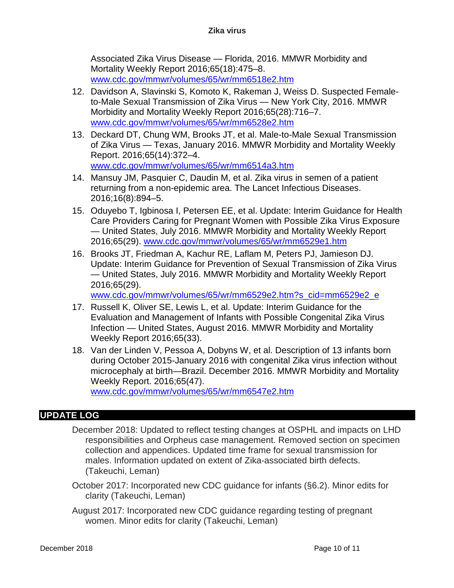Associated Zika Virus Disease — Florida, 2016. MMWR Morbidity and Mortality Weekly Report 2016;65(18):475–8. [www.cdc.gov/mmwr/volumes/65/wr/mm6518e2.htm](http://www.cdc.gov/mmwr/volumes/65/wr/mm6518e2.htm)

- 12. Davidson A, Slavinski S, Komoto K, Rakeman J, Weiss D. Suspected Femaleto-Male Sexual Transmission of Zika Virus — New York City, 2016. MMWR Morbidity and Mortality Weekly Report 2016;65(28):716–7. [www.cdc.gov/mmwr/volumes/65/wr/mm6528e2.htm](http://www.cdc.gov/mmwr/volumes/65/wr/mm6528e2.htm)
- 13. Deckard DT, Chung WM, Brooks JT, et al. Male-to-Male Sexual Transmission of Zika Virus — Texas, January 2016. MMWR Morbidity and Mortality Weekly Report. 2016;65(14):372–4. [www.cdc.gov/mmwr/volumes/65/wr/mm6514a3.htm](http://www.cdc.gov/mmwr/volumes/65/wr/mm6514a3.htm)
- 14. Mansuy JM, Pasquier C, Daudin M, et al. Zika virus in semen of a patient returning from a non-epidemic area. The Lancet Infectious Diseases. 2016;16(8):894–5.
- 15. Oduyebo T, Igbinosa I, Petersen EE, et al. Update: Interim Guidance for Health Care Providers Caring for Pregnant Women with Possible Zika Virus Exposure — United States, July 2016. MMWR Morbidity and Mortality Weekly Report 2016;65(29). [www.cdc.gov/mmwr/volumes/65/wr/mm6529e1.htm](http://www.cdc.gov/mmwr/volumes/65/wr/mm6529e1.htm)
- 16. Brooks JT, Friedman A, Kachur RE, Laflam M, Peters PJ, Jamieson DJ. Update: Interim Guidance for Prevention of Sexual Transmission of Zika Virus — United States, July 2016. MMWR Morbidity and Mortality Weekly Report 2016;65(29).

[www.cdc.gov/mmwr/volumes/65/wr/mm6529e2.htm?s\\_cid=mm6529e2\\_e](http://www.cdc.gov/mmwr/volumes/65/wr/mm6529e2.htm?s_cid=mm6529e2_e)

- 17. Russell K, Oliver SE, Lewis L, et al. Update: Interim Guidance for the Evaluation and Management of Infants with Possible Congenital Zika Virus Infection — United States, August 2016. MMWR Morbidity and Mortality Weekly Report 2016;65(33).
- 18. Van der Linden V, Pessoa A, Dobyns W, et al. Description of 13 infants born during October 2015-January 2016 with congenital Zika virus infection without microcephaly at birth—Brazil. December 2016. MMWR Morbidity and Mortality Weekly Report. 2016;65(47).

[www.cdc.gov/mmwr/volumes/65/wr/mm6547e2.htm](http://www.cdc.gov/mmwr/volumes/65/wr/mm6547e2.htm)

## **UPDATE LOG**

December 2018: Updated to reflect testing changes at OSPHL and impacts on LHD responsibilities and Orpheus case management. Removed section on specimen collection and appendices. Updated time frame for sexual transmission for males. Information updated on extent of Zika-associated birth defects. (Takeuchi, Leman)

October 2017: Incorporated new CDC guidance for infants (§6.2). Minor edits for clarity (Takeuchi, Leman)

August 2017: Incorporated new CDC guidance regarding testing of pregnant women. Minor edits for clarity (Takeuchi, Leman)